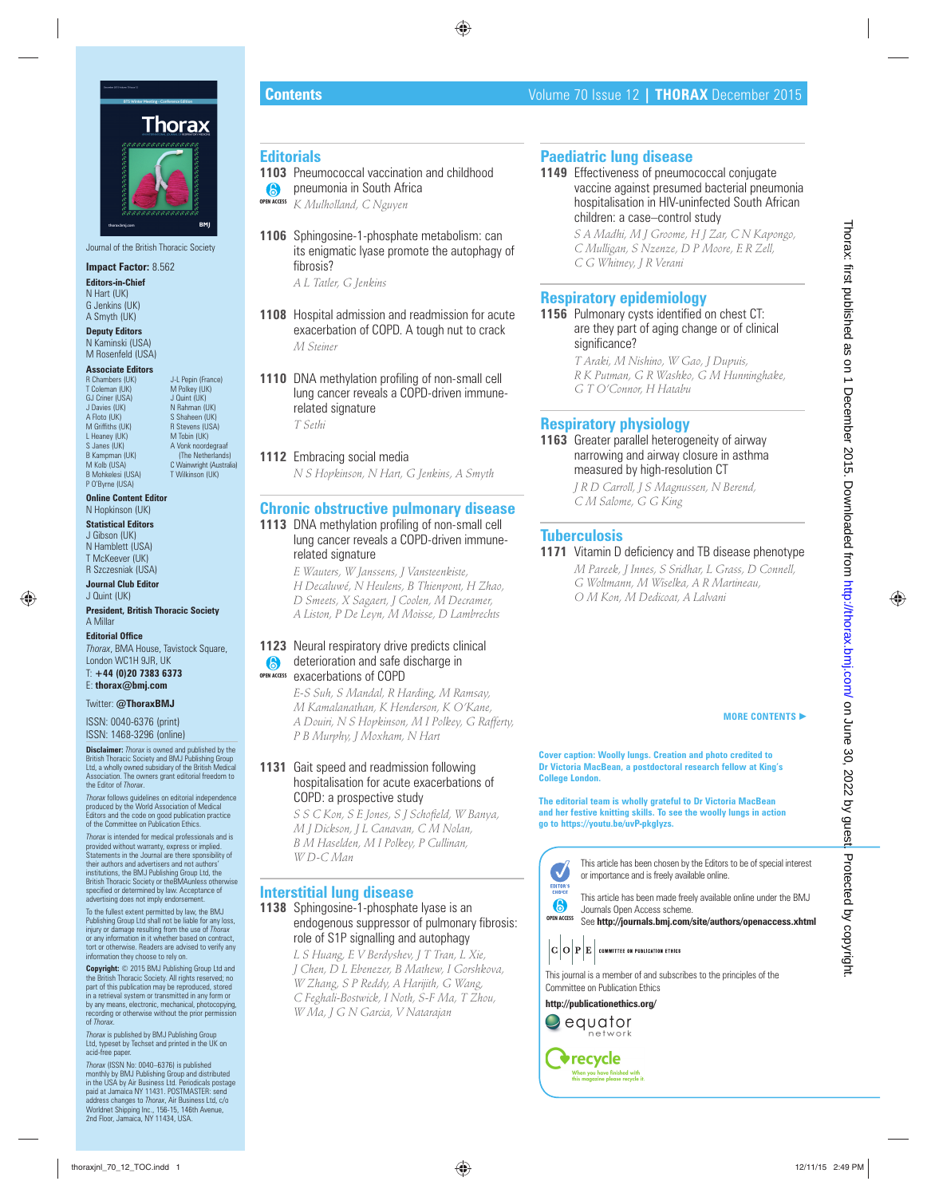

Journal of the British Thoracic Society

## **Impact Factor:** 8.562

**Editors-in-Chief** N Hart (UK) G Jenkins (UK) A Smyth (UK)

**Deputy Editors** N Kaminski (USA) M Rosenfeld (USA)

#### **Associate Editors**<br>**R** Chambers (UK) T Coleman (UK)

L Heaney (UK)<br>S Janes (UK)

P O'Byrne (USA)

J-L Pepin (France)<br>M Polkey (UK) GJ Criner (USA) J Quint (UK)<br>J Davies (UK) N Rahman (L J Davies (UK) N Rahman (UK)<br>A Floto (UK) N Rahman (UK) S Shaheen (UK)<br>B Stevens (USA) M Griffiths (UK) R Stevens (US<br>
L Heaney (UK) R Stevens (US<br>
M Tobin (UK) S Janes (UK) <br>B Kampman (UK) <br>A Vonk noordegraaf B Kampman (UK) (The Netherlands)<br>
M Kolb (USA) (The Netherlands)<br>
C Wainwright (Australi M Kolb (USA) C Wainwright (Australia)<br>
R Mohkelesi (USA) T Wilkinson (UK) T Wilkinson (UK)

**Online Content Editor** N Hopkinson (UK)

**Statistical Editors** J Gibson (UK) N Hamblett (USA) T McKeever (UK) R Szczesniak (USA)

**Journal Club Editor** J Quint (UK)

**President, British Thoracic Society** A Millar

**Editorial Office** *Thorax*, BMA House, Tavistock Square, London WC1H 9JR, UK T: **+44 (0)20 7383 6373** E: **thorax@bmj.com**

Twitter: **@ThoraxBMJ**

ISSN: 0040-6376 (print) ISSN: 1468-3296 (online)

**Disclaimer:** *Thorax* is owned and published by the British Thoracic Society and BMJ Publishing Group Ltd, a wholly owned subsidiary of the British Medical Association. The owners grant editorial freedom to the Editor of *Thorax*.

*Thorax* follows guidelines on editorial independence produced by the World Association of Medical Editors and the code on good publication practice of the Committee on Publication Ethics.

*Thorax* is intended for medical professionals and is provided without warranty, express or implied. Statements in the Journal are there sponsibility of their authors and advertisers and not authors' institutions, the BMJ Publishing Group Ltd, the British Thoracic Society or theBMAunless otherwise<br>specified or determined by law. Acceptance of advertising does not imply endorsement.

To the fullest extent permitted by law, the BMJ Publishing Group Ltd shall not be liable for any loss, injury or damage resulting from the use of *Thorax* or any information in it whether based on contract, tort or otherwise. Readers are advised to verify any information they choose to rely on.

**Copyright:** © 2015 BMJ Publishing Group Ltd and the British Thoracic Society. All rights reserved; no part of this publication may be reproduced, stored in a retrieval system or transmitted in any form or by any means, electronic, mechanical, photocopying, recording or otherwise without the prior permission of *Thorax*.

*Thorax* is published by BMJ Publishing Group Ltd, typeset by Techset and printed in the UK on acid-free paper.

*Thorax* (ISSN No: 0040–6376) is published monthly by BMJ Publishing Group and distributed in the USA by Air Business Ltd. Periodicals postage paid at Jamaica NY 11431. POSTMASTER: send address changes to *Thorax*, Air Business Ltd, c/o Worldnet Shipping Inc., 156-15, 146th Avenue, 2nd Floor, Jamaica, NY 11434, USA.

#### **Editorials**

- **1103** Pneumococcal vaccination and childhood
- **(8)** pneumonia in South Africa *K Mulholland, C Nguyen* **OPEN ACCESS**
- **1106** Sphingosine-1-phosphate metabolism: can its enigmatic lyase promote the autophagy of fibrosis?

*A L Tatler, G Jenkins*

- **1108** Hospital admission and readmission for acute exacerbation of COPD. A tough nut to crack *M Steiner*
- **1110** DNA methylation profiling of non-small cell lung cancer reveals a COPD-driven immunerelated signature *T Sethi*

**1112** Embracing social media *N S Hopkinson, N Hart, G Jenkins, A Smyth*

## **Chronic obstructive pulmonary disease**

**1113** DNA methylation profiling of non-small cell lung cancer reveals a COPD-driven immunerelated signature

> *E Wauters, W Janssens, J Vansteenkiste, H Decaluwé, N Heulens, B Thienpont, H Zhao, D Smeets, X Sagaert, J Coolen, M Decramer, A Liston, P De Leyn, M Moisse, D Lambrechts*

#### 1123 Neural respiratory drive predicts clinical **a** deterioration and safe discharge in exacerbations of COPD **OPEN ACCESS**

*E-S Suh, S Mandal, R Harding, M Ramsay, M Kamalanathan, K Henderson, K O'Kane, A Douiri, N S Hopkinson, M I Polkey, G Rafferty, P B Murphy, J Moxham, N Hart*

#### **1131** Gait speed and readmission following hospitalisation for acute exacerbations of COPD: a prospective study

 $S S C$  Kon,  $S E$  Jones,  $S I$  Schofield, W Banya, *M J Dickson, J L Canavan, C M Nolan, B M Haselden, M I Polkey, P Cullinan, W D-C Man*

#### **Interstitial lung disease**

**1138** Sphingosine-1-phosphate lyase is an endogenous suppressor of pulmonary fibrosis: role of S1P signalling and autophagy

*L S Huang, E V Berdyshev, J T Tran, L Xie, J Chen, D L Ebenezer, B Mathew, I Gorshkova, W Zhang, S P Reddy, A Harijith, G Wang, C Feghali-Bostwick, I Noth, S-F Ma, T Zhou, W Ma, J G N Garcia, V Natarajan* the energy of the energy of the energy of the energy of the energy of the energy of the energy of the energy of the energy of the energy of the energy of the energy of the energy of the energy of the energy of the energy

# **Paediatric lung disease**

**1149** Effectiveness of pneumococcal conjugate vaccine against presumed bacterial pneumonia hospitalisation in HIV-uninfected South African children: a case–control study

> *S A Madhi, M J Groome, H J Zar, C N Kapongo, C Mulligan, S Nzenze, D P Moore, E R Zell, C G Whitney, J R Verani*

# **Respiratory epidemiology**

**1156** Pulmonary cysts identified on chest CT: are they part of aging change or of clinical significance?

*T Araki, M Nishino, W Gao, J Dupuis, R K Putman, G R Washko, G M Hunninghake, G T O'Connor, H Hatabu*

# **Respiratory physiology**

**1163** Greater parallel heterogeneity of airway narrowing and airway closure in asthma measured by high-resolution CT

*J R D Carroll, J S Magnussen, N Berend, C M Salome, G G King*

## **Tuberculosis**

**1171** Vitamin D deficiency and TB disease phenotype *M Pareek, J Innes, S Sridhar, L Grass, D Connell, G Woltmann, M Wiselka, A R Martineau, O M Kon, M Dedicoat, A Lalvani*

#### **MORE CONTENTS** -

**Cover caption: Woolly lungs. Creation and photo credited to Dr Victoria MacBean, a postdoctoral research fellow at King's College London.** 

**The editorial team is wholly grateful to Dr Victoria MacBean and her festive knitting skills. To see the woolly lungs in action go to https://youtu.be/uvP-pkgIyzs.**



This article has been chosen by the Editors to be of special interest or importance and is freely available online.



**OPEN ACCESS** See **http://journals.bmj.com/site/authors/openaccess.xhtml** 



This journal is a member of and subscribes to the principles of the Committee on Publication Ethics

**http://publicationethics.org/**